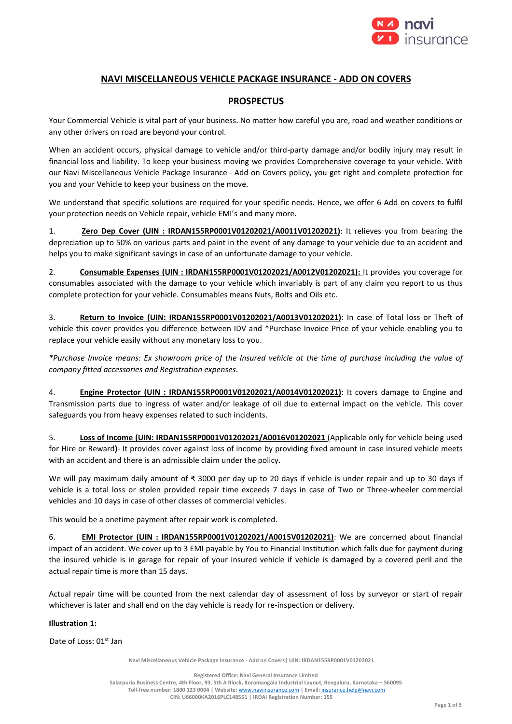

# **NAVI MISCELLANEOUS VEHICLE PACKAGE INSURANCE - ADD ON COVERS**

# **PROSPECTUS**

Your Commercial Vehicle is vital part of your business. No matter how careful you are, road and weather conditions or any other drivers on road are beyond your control.

When an accident occurs, physical damage to vehicle and/or third-party damage and/or bodily injury may result in financial loss and liability. To keep your business moving we provides Comprehensive coverage to your vehicle. With our Navi Miscellaneous Vehicle Package Insurance - Add on Covers policy, you get right and complete protection for you and your Vehicle to keep your business on the move.

We understand that specific solutions are required for your specific needs. Hence, we offer 6 Add on covers to fulfil your protection needs on Vehicle repair, vehicle EMI's and many more.

1. **Zero Dep Cover (UIN : IRDAN155RP0001V01202021/A0011V01202021)**: It relieves you from bearing the depreciation up to 50% on various parts and paint in the event of any damage to your vehicle due to an accident and helps you to make significant savings in case of an unfortunate damage to your vehicle.

2. **Consumable Expenses (UIN : IRDAN155RP0001V01202021/A0012V01202021):** It provides you coverage for consumables associated with the damage to your vehicle which invariably is part of any claim you report to us thus complete protection for your vehicle. Consumables means Nuts, Bolts and Oils etc.

3. **Return to Invoice (UIN: IRDAN155RP0001V01202021/A0013V01202021)**: In case of Total loss or Theft of vehicle this cover provides you difference between IDV and \*Purchase Invoice Price of your vehicle enabling you to replace your vehicle easily without any monetary loss to you.

*\*Purchase Invoice means: Ex showroom price of the Insured vehicle at the time of purchase including the value of company fitted accessories and Registration expenses*.

4. **Engine Protector (UIN : IRDAN155RP0001V01202021/A0014V01202021)**: It covers damage to Engine and Transmission parts due to ingress of water and/or leakage of oil due to external impact on the vehicle. This cover safeguards you from heavy expenses related to such incidents.

5. **Loss of Income (UIN: IRDAN155RP0001V01202021/A0016V01202021** (Applicable only for vehicle being used for Hire or Reward**)**- It provides cover against loss of income by providing fixed amount in case insured vehicle meets with an accident and there is an admissible claim under the policy.

We will pay maximum daily amount of ₹ 3000 per day up to 20 days if vehicle is under repair and up to 30 days if vehicle is a total loss or stolen provided repair time exceeds 7 days in case of Two or Three-wheeler commercial vehicles and 10 days in case of other classes of commercial vehicles.

This would be a onetime payment after repair work is completed.

6. **EMI Protector (UIN : IRDAN155RP0001V01202021/A0015V01202021)**: We are concerned about financial impact of an accident. We cover up to 3 EMI payable by You to Financial Institution which falls due for payment during the insured vehicle is in garage for repair of your insured vehicle if vehicle is damaged by a covered peril and the actual repair time is more than 15 days.

Actual repair time will be counted from the next calendar day of assessment of loss by surveyor or start of repair whichever is later and shall end on the day vehicle is ready for re-inspection or delivery.

# **Illustration 1:**

Date of Loss: 01<sup>st</sup> Jan

**Navi Miscellaneous Vehicle Package Insurance - Add on Covers| UIN: IRDAN155RP0001V01202021**

**Registered Office: Navi General Insurance Limited Salarpuria Business Centre, 4th Floor, 93, 5th A Block, Koramangala Industrial Layout, Bengaluru, Karnataka – 560095 Toll-free number: 1800 123 0004 | Website:** [www.naviinsurance.com](http://www.naviinsurance.com/) **| Email:** [insurance.help@navi.com](mailto:insurance.help@navi.com) **CIN: U66000KA2016PLC148551 | IRDAI Registration Number: 155**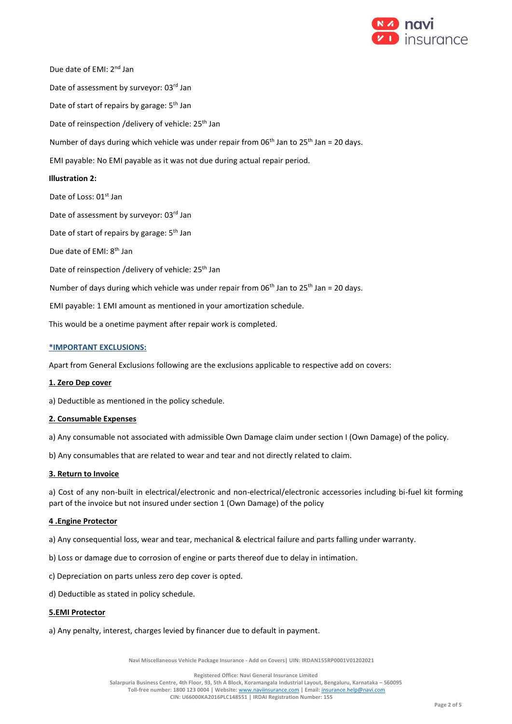

Due date of EMI: 2<sup>nd</sup> Jan Date of assessment by surveyor: 03rd Jan Date of start of repairs by garage: 5<sup>th</sup> Jan Date of reinspection /delivery of vehicle: 25<sup>th</sup> Jan Number of days during which vehicle was under repair from 06<sup>th</sup> Jan to 25<sup>th</sup> Jan = 20 days. EMI payable: No EMI payable as it was not due during actual repair period. **Illustration 2:** Date of Loss: 01<sup>st</sup> Jan Date of assessment by surveyor: 03rd Jan Date of start of repairs by garage: 5<sup>th</sup> Jan Due date of EMI: 8<sup>th</sup> Jan Date of reinspection /delivery of vehicle: 25<sup>th</sup> Jan Number of days during which vehicle was under repair from 06<sup>th</sup> Jan to 25<sup>th</sup> Jan = 20 days. EMI payable: 1 EMI amount as mentioned in your amortization schedule. This would be a onetime payment after repair work is completed.

# **\*IMPORTANT EXCLUSIONS:**

Apart from General Exclusions following are the exclusions applicable to respective add on covers:

## **1. Zero Dep cover**

a) Deductible as mentioned in the policy schedule.

## **2. Consumable Expenses**

a) Any consumable not associated with admissible Own Damage claim under section I (Own Damage) of the policy.

b) Any consumables that are related to wear and tear and not directly related to claim.

## **3. Return to Invoice**

a) Cost of any non-built in electrical/electronic and non-electrical/electronic accessories including bi-fuel kit forming part of the invoice but not insured under section 1 (Own Damage) of the policy

## **4 .Engine Protector**

- a) Any consequential loss, wear and tear, mechanical & electrical failure and parts falling under warranty.
- b) Loss or damage due to corrosion of engine or parts thereof due to delay in intimation.
- c) Depreciation on parts unless zero dep cover is opted.
- d) Deductible as stated in policy schedule.

## **5.EMI Protector**

a) Any penalty, interest, charges levied by financer due to default in payment.

**Navi Miscellaneous Vehicle Package Insurance - Add on Covers| UIN: IRDAN155RP0001V01202021**

**Registered Office: Navi General Insurance Limited**

**Salarpuria Business Centre, 4th Floor, 93, 5th A Block, Koramangala Industrial Layout, Bengaluru, Karnataka – 560095**

**Toll-free number: 1800 123 0004 | Website:** [www.naviinsurance.com](http://www.naviinsurance.com/) **| Email:** [insurance.help@navi.com](mailto:insurance.help@navi.com)

**CIN: U66000KA2016PLC148551 | IRDAI Registration Number: 155**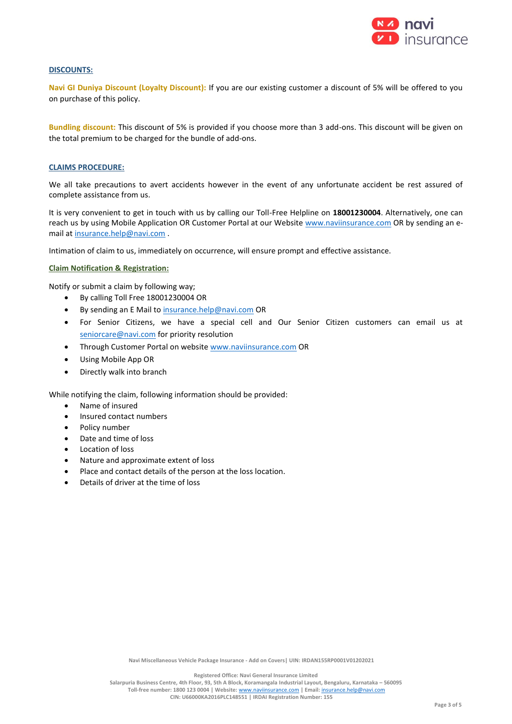

# **DISCOUNTS:**

**Navi GI Duniya Discount (Loyalty Discount):** If you are our existing customer a discount of 5% will be offered to you on purchase of this policy.

**Bundling discount:** This discount of 5% is provided if you choose more than 3 add-ons. This discount will be given on the total premium to be charged for the bundle of add-ons.

## **CLAIMS PROCEDURE:**

We all take precautions to avert accidents however in the event of any unfortunate accident be rest assured of complete assistance from us.

It is very convenient to get in touch with us by calling our Toll-Free Helpline on **18001230004**. Alternatively, one can reach us by using Mobile Application OR Customer Portal at our Website [www.naviinsurance.com](http://www.naviinsurance.com/) OR by sending an email at [insurance.help@navi.com](mailto:insurance.help@navi.com) .

Intimation of claim to us, immediately on occurrence, will ensure prompt and effective assistance.

# **Claim Notification & Registration:**

Notify or submit a claim by following way;

- By calling Toll Free 18001230004 OR
- By sending an E Mail t[o insurance.help@navi.com](mailto:insurance.help@navi.com) OR
- For Senior Citizens, we have a special cell and Our Senior Citizen customers can email us at [seniorcare@navi.com](mailto:seniorcare@navi.com) for priority resolution
- Through Customer Portal on websit[e www.naviinsurance.com](http://www.naviinsurance.com/) OR
- Using Mobile App OR
- Directly walk into branch

While notifying the claim, following information should be provided:

- Name of insured
- Insured contact numbers
- Policy number
- Date and time of loss
- Location of loss
- Nature and approximate extent of loss
- Place and contact details of the person at the loss location.
- Details of driver at the time of loss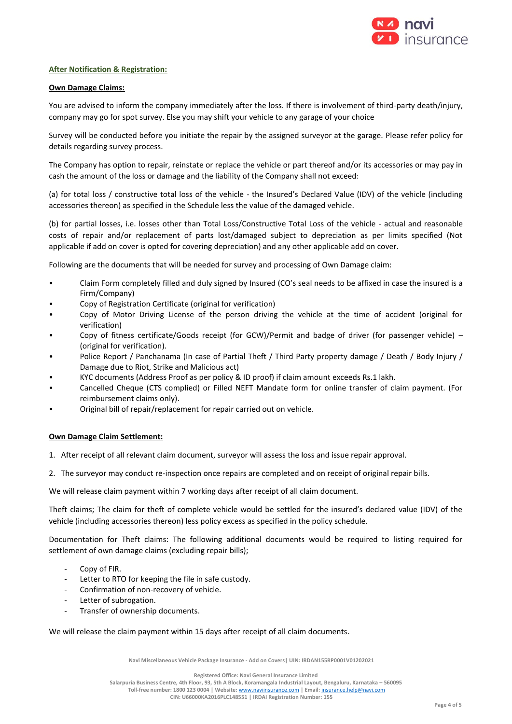

# **After Notification & Registration:**

# **Own Damage Claims:**

You are advised to inform the company immediately after the loss. If there is involvement of third-party death/injury, company may go for spot survey. Else you may shift your vehicle to any garage of your choice

Survey will be conducted before you initiate the repair by the assigned surveyor at the garage. Please refer policy for details regarding survey process.

The Company has option to repair, reinstate or replace the vehicle or part thereof and/or its accessories or may pay in cash the amount of the loss or damage and the liability of the Company shall not exceed:

(a) for total loss / constructive total loss of the vehicle - the Insured's Declared Value (IDV) of the vehicle (including accessories thereon) as specified in the Schedule less the value of the damaged vehicle.

(b) for partial losses, i.e. losses other than Total Loss/Constructive Total Loss of the vehicle - actual and reasonable costs of repair and/or replacement of parts lost/damaged subject to depreciation as per limits specified (Not applicable if add on cover is opted for covering depreciation) and any other applicable add on cover.

Following are the documents that will be needed for survey and processing of Own Damage claim:

- Claim Form completely filled and duly signed by Insured (CO's seal needs to be affixed in case the insured is a Firm/Company)
- Copy of Registration Certificate (original for verification)
- Copy of Motor Driving License of the person driving the vehicle at the time of accident (original for verification)
- Copy of fitness certificate/Goods receipt (for GCW)/Permit and badge of driver (for passenger vehicle) (original for verification).
- Police Report / Panchanama (In case of Partial Theft / Third Party property damage / Death / Body Injury / Damage due to Riot, Strike and Malicious act)
- KYC documents (Address Proof as per policy & ID proof) if claim amount exceeds Rs.1 lakh.
- Cancelled Cheque (CTS complied) or Filled NEFT Mandate form for online transfer of claim payment. (For reimbursement claims only).
- Original bill of repair/replacement for repair carried out on vehicle.

# **Own Damage Claim Settlement:**

- 1. After receipt of all relevant claim document, surveyor will assess the loss and issue repair approval.
- 2. The surveyor may conduct re-inspection once repairs are completed and on receipt of original repair bills.

We will release claim payment within 7 working days after receipt of all claim document.

Theft claims; The claim for theft of complete vehicle would be settled for the insured's declared value (IDV) of the vehicle (including accessories thereon) less policy excess as specified in the policy schedule.

Documentation for Theft claims: The following additional documents would be required to listing required for settlement of own damage claims (excluding repair bills);

- Copy of FIR.
- Letter to RTO for keeping the file in safe custody.
- Confirmation of non-recovery of vehicle.
- Letter of subrogation.
- Transfer of ownership documents.

We will release the claim payment within 15 days after receipt of all claim documents.

**Navi Miscellaneous Vehicle Package Insurance - Add on Covers| UIN: IRDAN155RP0001V01202021**

**Registered Office: Navi General Insurance Limited**

**Salarpuria Business Centre, 4th Floor, 93, 5th A Block, Koramangala Industrial Layout, Bengaluru, Karnataka – 560095 Toll-free number: 1800 123 0004 | Website:** [www.naviinsurance.com](http://www.naviinsurance.com/) **| Email:** [insurance.help@navi.com](mailto:insurance.help@navi.com) **CIN: U66000KA2016PLC148551 | IRDAI Registration Number: 155**